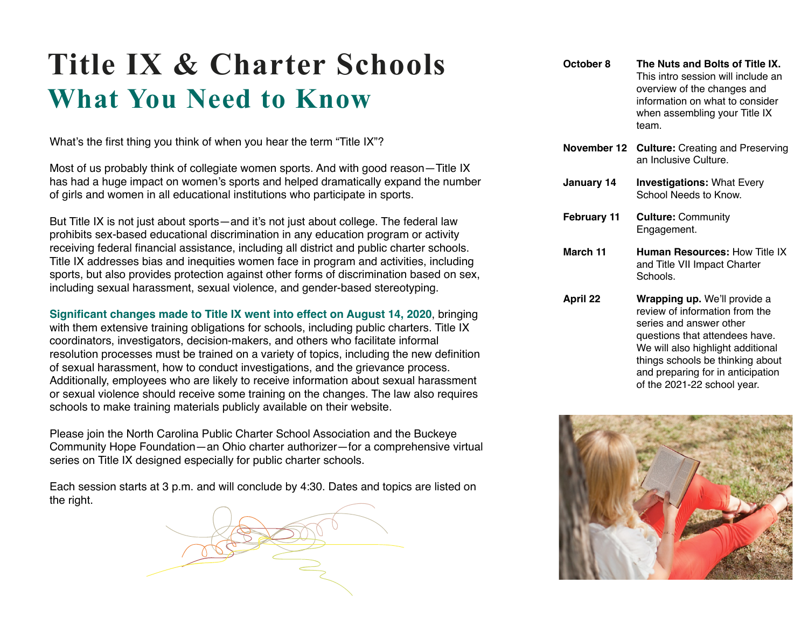## **Title IX & Charter Schools What You Need to Know**

What's the first thing you think of when you hear the term "Title IX"?

Most of us probably think of collegiate women sports. And with good reason—Title IX has had a huge impact on women's sports and helped dramatically expand the number of girls and women in all educational institutions who participate in sports.

But Title IX is not just about sports—and it's not just about college. The federal law prohibits sex-based educational discrimination in any education program or activity receiving federal financial assistance, including all district and public charter schools. Title IX addresses bias and inequities women face in program and activities, including sports, but also provides protection against other forms of discrimination based on sex, including sexual harassment, sexual violence, and gender-based stereotyping.

**Significant changes made to Title IX went into effect on August 14, 2020**, bringing with them extensive training obligations for schools, including public charters. Title IX coordinators, investigators, decision-makers, and others who facilitate informal resolution processes must be trained on a variety of topics, including the new definition of sexual harassment, how to conduct investigations, and the grievance process. Additionally, employees who are likely to receive information about sexual harassment or sexual violence should receive some training on the changes. The law also requires schools to make training materials publicly available on their website.

Please join the North Carolina Public Charter School Association and the Buckeye Community Hope Foundation—an Ohio charter authorizer—for a comprehensive virtual series on Title IX designed especially for public charter schools.

Each session starts at 3 p.m. and will conclude by 4:30. Dates and topics are listed on the right.



| October 8          | The Nuts and Bolts of Title IX.<br>This intro session will include an<br>overview of the changes and<br>information on what to consider<br>when assembling your Title IX<br>team.                                                                                        |
|--------------------|--------------------------------------------------------------------------------------------------------------------------------------------------------------------------------------------------------------------------------------------------------------------------|
| November 12        | <b>Culture:</b> Creating and Preserving<br>an Inclusive Culture.                                                                                                                                                                                                         |
| <b>January 14</b>  | <b>Investigations: What Every</b><br>School Needs to Know.                                                                                                                                                                                                               |
| <b>February 11</b> | <b>Culture: Community</b><br>Engagement.                                                                                                                                                                                                                                 |
| March 11           | <b>Human Resources: How Title IX</b><br>and Title VII Impact Charter<br>Schools.                                                                                                                                                                                         |
| <b>April 22</b>    | Wrapping up. We'll provide a<br>review of information from the<br>series and answer other<br>questions that attendees have.<br>We will also highlight additional<br>things schools be thinking about<br>and preparing for in anticipation<br>of the 2021-22 school year. |